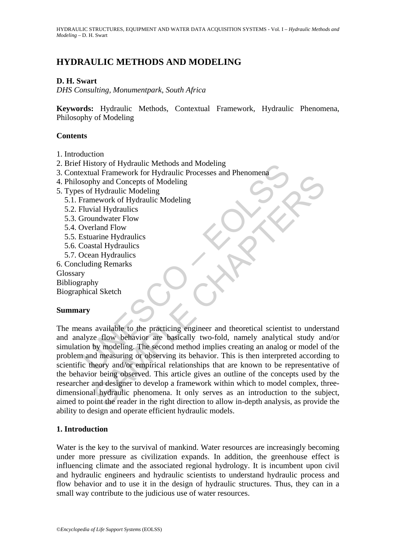# **HYDRAULIC METHODS AND MODELING**

### **D. H. Swart**

*DHS Consulting, Monumentpark, South Africa* 

**Keywords:** Hydraulic Methods, Contextual Framework, Hydraulic Phenomena, Philosophy of Modeling

#### **Contents**

- 1. Introduction
- 2. Brief History of Hydraulic Methods and Modeling
- 3. Contextual Framework for Hydraulic Processes and Phenomena
- 4. Philosophy and Concepts of Modeling
- 5. Types of Hydraulic Modeling
	- 5.1. Framework of Hydraulic Modeling
	- 5.2. Fluvial Hydraulics
	- 5.3. Groundwater Flow
	- 5.4. Overland Flow
	- 5.5. Estuarine Hydraulics
	- 5.6. Coastal Hydraulics
	- 5.7. Ocean Hydraulics
- 6. Concluding Remarks

**Glossary** 

Bibliography

Biographical Sketch

### **Summary**

History of Hydraulic Methods and Modeling<br>
extual Framework for Hydraulic Processes and Phenomena<br>
sophy and Concepts of Modeling<br>
Framework of Hydraulic Modeling<br>
Framework of Hydraulic Modeling<br>
Framework of Hydraulic Mo Transverse for tryingame riversis and richomical<br>the Hydraulic Modeling<br>that Hydraulic Modeling<br>undwater Flow<br>undwater Flow<br>that Hydraulics<br>an Hydraulics<br>an Hydraulics<br>and Hydraulics<br>an Hydraulics<br>an Hydraulics<br>is stal Hyd The means available to the practicing engineer and theoretical scientist to understand and analyze flow behavior are basically two-fold, namely analytical study and/or simulation by modeling. The second method implies creating an analog or model of the problem and measuring or observing its behavior. This is then interpreted according to scientific theory and/or empirical relationships that are known to be representative of the behavior being observed. This article gives an outline of the concepts used by the researcher and designer to develop a framework within which to model complex, threedimensional hydraulic phenomena. It only serves as an introduction to the subject, aimed to point the reader in the right direction to allow in-depth analysis, as provide the ability to design and operate efficient hydraulic models.

### **1. Introduction**

Water is the key to the survival of mankind. Water resources are increasingly becoming under more pressure as civilization expands. In addition, the greenhouse effect is influencing climate and the associated regional hydrology. It is incumbent upon civil and hydraulic engineers and hydraulic scientists to understand hydraulic process and flow behavior and to use it in the design of hydraulic structures. Thus, they can in a small way contribute to the judicious use of water resources.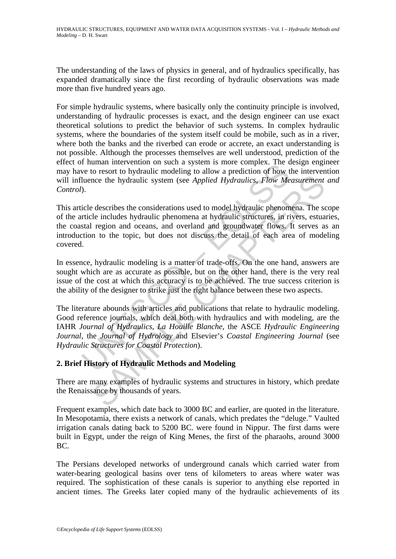The understanding of the laws of physics in general, and of hydraulics specifically, has expanded dramatically since the first recording of hydraulic observations was made more than five hundred years ago.

For simple hydraulic systems, where basically only the continuity principle is involved, understanding of hydraulic processes is exact, and the design engineer can use exact theoretical solutions to predict the behavior of such systems. In complex hydraulic systems, where the boundaries of the system itself could be mobile, such as in a river, where both the banks and the riverbed can erode or accrete, an exact understanding is not possible. Although the processes themselves are well understood, prediction of the effect of human intervention on such a system is more complex. The design engineer may have to resort to hydraulic modeling to allow a prediction of how the intervention will influence the hydraulic system (see *Applied Hydraulics*, *Flow Measurement and Control*).

This article describes the considerations used to model hydraulic phenomena. The scope of the article includes hydraulic phenomena at hydraulic structures, in rivers, estuaries, the coastal region and oceans, and overland and groundwater flows. It serves as an introduction to the topic, but does not discuss the detail of each area of modeling covered.

In essence, hydraulic modeling is a matter of trade-offs. On the one hand, answers are sought which are as accurate as possible, but on the other hand, there is the very real issue of the cost at which this accuracy is to be achieved. The true success criterion is the ability of the designer to strike just the right balance between these two aspects.

The inferred in the vention of such a system is more complex. The district of how to treat to hydraulic modeling to allow a prediction of how there the hydraulic system (see *Applied Hydraulics, Flow Me*).<br>
Since describes note the hydraulic system (see *Applied Hydraulics, Flow Measurement*<br>describes the considerations used to model hydraulic phenomena. The sele includes hydraulic phenomena at hydraulic phenomena. The sele includes hydrauli The literature abounds with articles and publications that relate to hydraulic modeling. Good reference journals, which deal both with hydraulics and with modeling, are the IAHR *Journal of Hydraulics*, *La Houille Blanche*, the ASCE *Hydraulic Engineering Journal*, the *Journal of Hydrology* and Elsevier's *Coastal Engineering Journal* (see *Hydraulic Structures for Coastal Protection*).

## **2. Brief History of Hydraulic Methods and Modeling**

There are many examples of hydraulic systems and structures in history, which predate the Renaissance by thousands of years.

Frequent examples, which date back to 3000 BC and earlier, are quoted in the literature. In Mesopotamia, there exists a network of canals, which predates the "deluge." Vaulted irrigation canals dating back to 5200 BC. were found in Nippur. The first dams were built in Egypt, under the reign of King Menes, the first of the pharaohs, around 3000 BC.

The Persians developed networks of underground canals which carried water from water-bearing geological basins over tens of kilometers to areas where water was required. The sophistication of these canals is superior to anything else reported in ancient times. The Greeks later copied many of the hydraulic achievements of its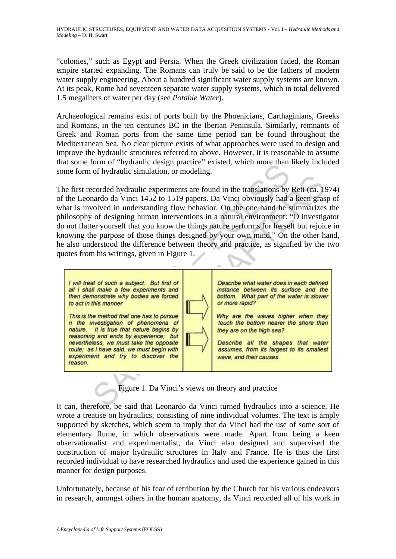"colonies," such as Egypt and Persia. When the Greek civilization faded, the Roman empire started expanding. The Romans can truly be said to be the fathers of modern water supply engineering. About a hundred significant water supply systems are known. At its peak, Rome had seventeen separate water supply systems, which in total delivered 1.5 megaliters of water per day (see *Potable Water*).

Archaeological remains exist of ports built by the Phoenicians, Carthaginians, Greeks and Romans, in the ten centuries BC in the Iberian Peninsula. Similarly, remnants of Greek and Roman ports from the same time period can be found throughout the Mediterranean Sea. No clear picture exists of what approaches were used to design and improve the hydraulic structures referred to above. However, it is reasonable to assume that some form of "hydraulic design practice" existed, which more than likely included some form of hydraulic simulation, or modeling.

The first recorded hydraulic experiments are found in the translations by Reti (ca. 1974) of the Leonardo da Vinci 1452 to 1519 papers. Da Vinci obviously had a keen grasp of what is involved in understanding flow behavior. On the one hand he summarizes the philosophy of designing human interventions in a natural environment: "O investigator do not flatter yourself that you know the things nature performs for herself but rejoice in knowing the purpose of those things designed by your own mind." On the other hand, he also understood the difference between theory and practice, as signified by the two quotes from his writings, given in Figure 1.



Figure 1. Da Vinci's views on theory and practice

It can, therefore, be said that Leonardo da Vinci turned hydraulics into a science. He wrote a treatise on hydraulics, consisting of nine individual volumes. The text is amply supported by sketches, which seem to imply that da Vinci had the use of some sort of elementary flume, in which observations were made. Apart from being a keen observationalist and experimentalist, da Vinci also designed and supervised the construction of major hydraulic structures in Italy and France. He is thus the first recorded individual to have researched hydraulics and used the experience gained in this manner for design purposes.

Unfortunately, because of his fear of retribution by the Church for his various endeavors in research, amongst others in the human anatomy, da Vinci recorded all of his work in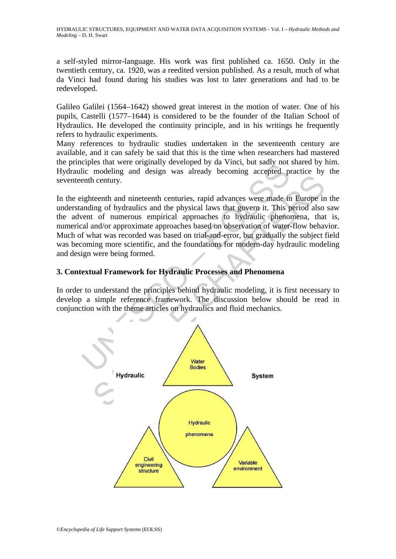a self-styled mirror-language. His work was first published ca. 1650. Only in the twentieth century, ca. 1920, was a reedited version published. As a result, much of what da Vinci had found during his studies was lost to later generations and had to be redeveloped.

Galileo Galilei (1564–1642) showed great interest in the motion of water. One of his pupils, Castelli (1577–1644) is considered to be the founder of the Italian School of Hydraulics. He developed the continuity principle, and in his writings he frequently refers to hydraulic experiments.

Many references to hydraulic studies undertaken in the seventeenth century are available, and it can safely be said that this is the time when researchers had mastered the principles that were originally developed by da Vinci, but sadly not shared by him. Hydraulic modeling and design was already becoming accepted practice by the seventeenth century.

The model and were originary developed by da vincit, out sady not<br>lic modeling and design was already becoming accepted premhi century.<br>sighteenth and nineteenth centuries, rapid advances were made in<br>anding of hydraulics In the eighteenth and nineteenth centuries, rapid advances were made in Europe in the understanding of hydraulics and the physical laws that govern it. This period also saw the advent of numerous empirical approaches to hydraulic phenomena, that is, numerical and/or approximate approaches based on observation of water-flow behavior. Much of what was recorded was based on trial-and-error, but gradually the subject field was becoming more scientific, and the foundations for modern-day hydraulic modeling and design were being formed.

### **3. Contextual Framework for Hydraulic Processes and Phenomena**

In order to understand the principles behind hydraulic modeling, it is first necessary to develop a simple reference framework. The discussion below should be read in conjunction with the theme articles on hydraulics and fluid mechanics.

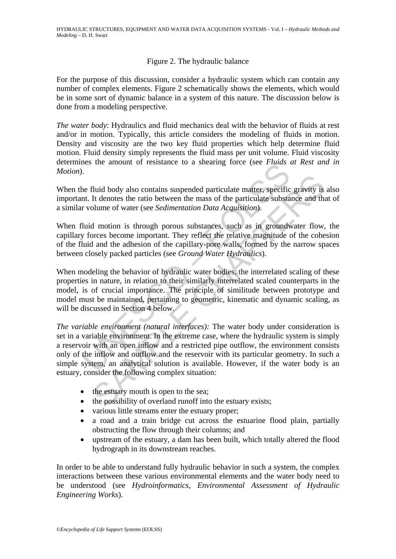### Figure 2. The hydraulic balance

For the purpose of this discussion, consider a hydraulic system which can contain any number of complex elements. Figure 2 schematically shows the elements, which would be in some sort of dynamic balance in a system of this nature. The discussion below is done from a modeling perspective.

*The water body*: Hydraulics and fluid mechanics deal with the behavior of fluids at rest and/or in motion. Typically, this article considers the modeling of fluids in motion. Density and viscosity are the two key fluid properties which help determine fluid motion. Fluid density simply represents the fluid mass per unit volume. Fluid viscosity determines the amount of resistance to a shearing force (see *Fluids at Rest and in Motion*).

When the fluid body also contains suspended particulate matter, specific gravity is also important. It denotes the ratio between the mass of the particulate substance and that of a similar volume of water (see *Sedimentation Data Acquisition*).

When fluid motion is through porous substances, such as in groundwater flow, the capillary forces become important. They reflect the relative magnitude of the cohesion of the fluid and the adhesion of the capillary-pore walls, formed by the narrow spaces between closely packed particles (see *Ground Water Hydraulics*).

When modeling the behavior of hydraulic water bodies, the interrelated scaling of these properties in nature, in relation to their similarly interrelated scaled counterparts in the model, is of crucial importance. The principle of similitude between prototype and model must be maintained, pertaining to geometric, kinematic and dynamic scaling, as will be discussed in Section 4 below.

Internal and the extended particulate matter, specifically and the fluid body also contains suspended particulate matter, specific int. It denotes the ratio between the mass of the particulate substant volume of water (see fluid body also contains suspended particulate matter, specific gravity is<br>It denotes the ratio between the mass of the particulate substance and tha<br>blume of water (see *Sedimentation Data Acquisition*).<br>A motion is throu *The variable environment (natural interfaces):* The water body under consideration is set in a variable environment. In the extreme case, where the hydraulic system is simply a reservoir with an open inflow and a restricted pipe outflow, the environment consists only of the inflow and outflow and the reservoir with its particular geometry. In such a simple system, an analytical solution is available. However, if the water body is an estuary, consider the following complex situation:

- the estuary mouth is open to the sea;
- the possibility of overland runoff into the estuary exists;
- various little streams enter the estuary proper;
- a road and a train bridge cut across the estuarine flood plain, partially obstructing the flow through their columns; and
- upstream of the estuary, a dam has been built, which totally altered the flood hydrograph in its downstream reaches.

In order to be able to understand fully hydraulic behavior in such a system, the complex interactions between these various environmental elements and the water body need to be understood (see *Hydroinformatics*, *Environmental Assessment of Hydraulic Engineering Works*).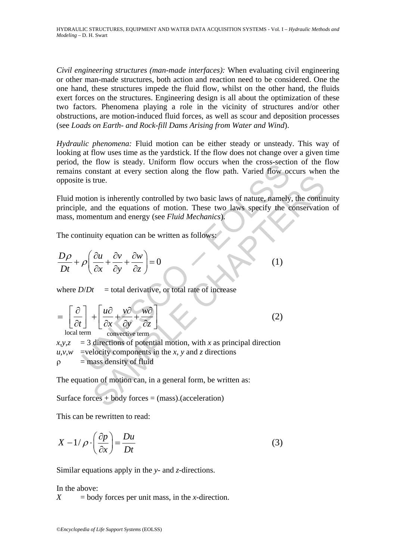*Civil engineering structures (man-made interfaces):* When evaluating civil engineering or other man-made structures, both action and reaction need to be considered. One the one hand, these structures impede the fluid flow, whilst on the other hand, the fluids exert forces on the structures. Engineering design is all about the optimization of these two factors. Phenomena playing a role in the vicinity of structures and/or other obstructions, are motion-induced fluid forces, as well as scour and deposition processes (see *Loads on Earth- and Rock-fill Dams Arising from Water and Wind*).

*Hydraulic phenomena:* Fluid motion can be either steady or unsteady. This way of looking at flow uses time as the yardstick. If the flow does not change over a given time period, the flow is steady. Uniform flow occurs when the cross-section of the flow remains constant at every section along the flow path. Varied flow occurs when the opposite is true.

Fluid motion is inherently controlled by two basic laws of nature, namely, the continuity principle, and the equations of motion. These two laws specify the conservation of mass, momentum and energy (see *Fluid Mechanics*).

The continuity equation can be written as follows:

$$
\frac{D\rho}{Dt} + \rho \left( \frac{\partial u}{\partial x} + \frac{\partial v}{\partial y} + \frac{\partial w}{\partial z} \right) = 0
$$
 (1)

where  $D/Dt$  = total derivative, or total rate of increase

UNESCO – EOLSS SAMPLE CHAPTERS local term convective term *uvw t xyz* ⎡ ⎤ ∂ ∂∂ ∂ ⎡ ⎤ = + ++ ⎢ ⎥ ⎢ ⎥ ⎣ ⎦ ∂ ∂∂∂ ⎣ ⎦ (2)

 $x, y, z = 3$  directions of potential motion, with *x* as principal direction  $u, v, w$  =velocity components in the *x*, *y* and *z* directions  $\rho$  = mass density of fluid

The equation of motion can, in a general form, be written as:

Surface forces  $+$  body forces  $=$  (mass).(acceleration)

This can be rewritten to read:

$$
X - 1/\rho \cdot \left(\frac{\partial p}{\partial x}\right) = \frac{Du}{Dt} \tag{3}
$$

Similar equations apply in the *y*- and *z*-directions.

In the above:

 $X =$  body forces per unit mass, in the *x*-direction.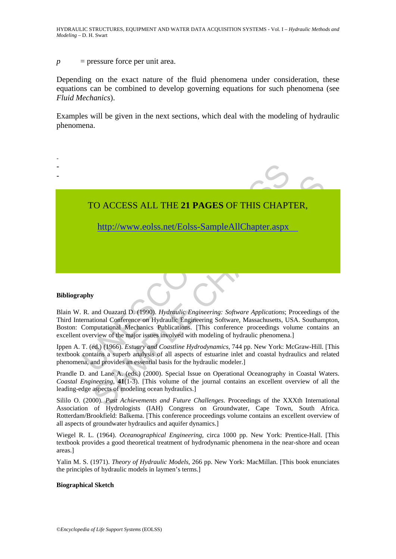#### *p* = pressure force per unit area.

Depending on the exact nature of the fluid phenomena under consideration, these equations can be combined to develop governing equations for such phenomena (see *Fluid Mechanics*).

Examples will be given in the next sections, which deal with the modeling of hydraulic phenomena.



#### **Bibliography**

Blain W. R. and Ouazard D. (1990). *Hydraulic Engineering: Software Applications*; Proceedings of the Third International Conference on Hydraulic Engineering Software, Massachusetts, USA. Southampton, Boston: Computational Mechanics Publications. [This conference proceedings volume contains an excellent overview of the major issues involved with modeling of hydraulic phenomena.]

Ippen A. T. (ed.) (1966). *Estuary and Coastline Hydrodynamics*, 744 pp. New York: McGraw-Hill. [This textbook contains a superb analysis of all aspects of estuarine inlet and coastal hydraulics and related phenomena, and provides an essential basis for the hydraulic modeler.]

Prandle D. and Lane A. (eds.) (2000). Special Issue on Operational Oceanography in Coastal Waters. *Coastal Engineering*, **41**(1-3). [This volume of the journal contains an excellent overview of all the leading-edge aspects of modeling ocean hydraulics.]

Sililo O. (2000). *Past Achievements and Future Challenges*. Proceedings of the XXXth International Association of Hydrologists (IAH) Congress on Groundwater, Cape Town, South Africa. Rotterdam/Brookfield: Balkema. [This conference proceedings volume contains an excellent overview of all aspects of groundwater hydraulics and aquifer dynamics.]

Wiegel R. L. (1964). *Oceanographical Engineering*, circa 1000 pp. New York: Prentice-Hall. [This textbook provides a good theoretical treatment of hydrodynamic phenomena in the near-shore and ocean areas.]

Yalin M. S. (1971). *Theory of Hydraulic Models*, 266 pp. New York: MacMillan. [This book enunciates the principles of hydraulic models in laymen's terms.]

#### **Biographical Sketch**